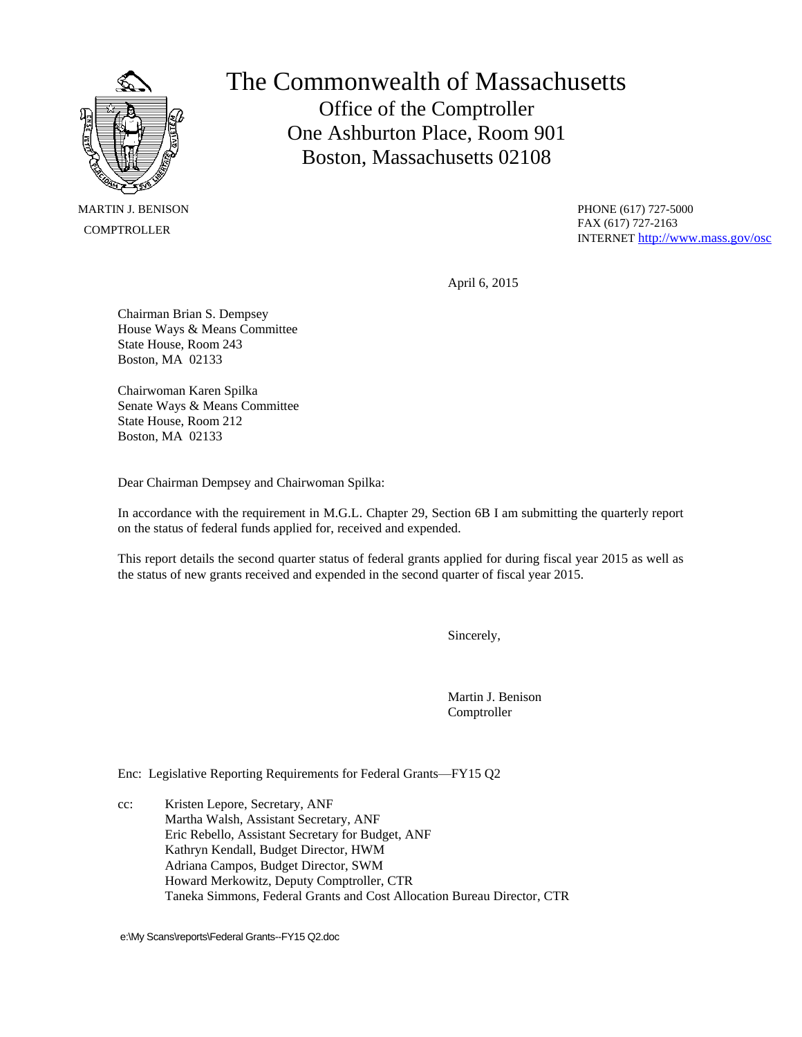

 MARTIN J. BENISON **COMPTROLLER** 

The Commonwealth of Massachusetts Office of the Comptroller One Ashburton Place, Room 901 Boston, Massachusetts 02108

> PHONE (617) 727-5000 FAX (617) 727-2163 INTERNET <http://www.mass.gov/osc>

April 6, 2015

Chairman Brian S. Dempsey House Ways & Means Committee State House, Room 243 Boston, MA 02133

Chairwoman Karen Spilka Senate Ways & Means Committee State House, Room 212 Boston, MA 02133

Dear Chairman Dempsey and Chairwoman Spilka:

In accordance with the requirement in M.G.L. Chapter 29, Section 6B I am submitting the quarterly report on the status of federal funds applied for, received and expended.

This report details the second quarter status of federal grants applied for during fiscal year 2015 as well as the status of new grants received and expended in the second quarter of fiscal year 2015.

Sincerely,

Martin J. Benison Comptroller

Enc: Legislative Reporting Requirements for Federal Grants—FY15 Q2

cc: Kristen Lepore, Secretary, ANF Martha Walsh, Assistant Secretary, ANF Eric Rebello, Assistant Secretary for Budget, ANF Kathryn Kendall, Budget Director, HWM Adriana Campos, Budget Director, SWM Howard Merkowitz, Deputy Comptroller, CTR Taneka Simmons, Federal Grants and Cost Allocation Bureau Director, CTR

e:\My Scans\reports\Federal Grants--FY15 Q2.doc